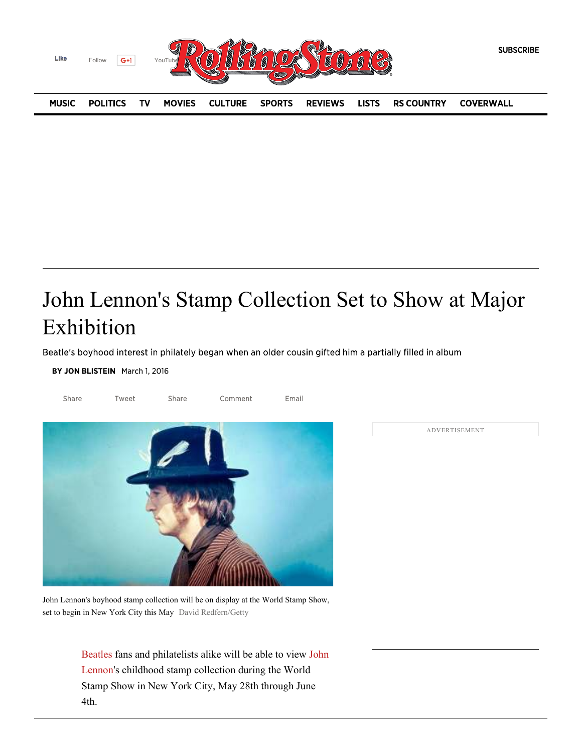

## John Lennon's Stamp Collection Set to Show at Major Exhibition

Beatle's boyhood interest in philately began when an older cousin gifted him a partially filled in album

BY JON BLISTEIN March 1, 2016



John Lennon's boyhood stamp collection will be on display at the World Stamp Show, set to begin in New York City this May David Redfern/Getty

> Beatles fans and philatelists alike will be able to view John Lennon's childhood stamp collection during the World Stamp Show in New York City, May 28th through June 4th.

ADVERTISEMENT